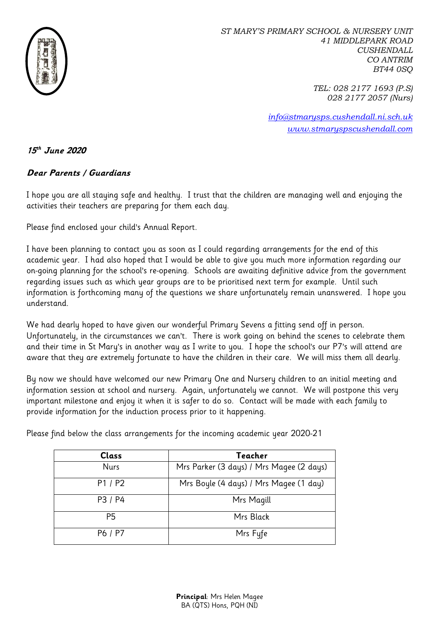

*ST MARY'S PRIMARY SCHOOL & NURSERY UNIT 41 MIDDLEPARK ROAD CUSHENDALL CO ANTRIM BT44 0SQ*

> *TEL: 028 2177 1693 (P.S) 028 2177 2057 (Nurs)*

*[info@stmarysps.cushendall.ni.sch.uk](mailto:info@stmarysps.cushendall.ni.sch.uk) [www.stmaryspscushendall.com](http://www.stmaryspscushendall.com/)*

## **15 th June 2020**

## **Dear Parents / Guardians**

I hope you are all staying safe and healthy. I trust that the children are managing well and enjoying the activities their teachers are preparing for them each day.

Please find enclosed your child's Annual Report.

I have been planning to contact you as soon as I could regarding arrangements for the end of this academic year. I had also hoped that I would be able to give you much more information regarding our on-going planning for the school's re-opening. Schools are awaiting definitive advice from the government regarding issues such as which year groups are to be prioritised next term for example. Until such information is forthcoming many of the questions we share unfortunately remain unanswered. I hope you understand.

We had dearly hoped to have given our wonderful Primary Sevens a fitting send off in person. Unfortunately, in the circumstances we can't. There is work going on behind the scenes to celebrate them and their time in St Mary's in another way as I write to you. I hope the school's our P7's will attend are aware that they are extremely fortunate to have the children in their care. We will miss them all dearly.

By now we should have welcomed our new Primary One and Nursery children to an initial meeting and information session at school and nursery. Again, unfortunately we cannot. We will postpone this very important milestone and enjoy it when it is safer to do so. Contact will be made with each family to provide information for the induction process prior to it happening.

Please find below the class arrangements for the incoming academic year 2020-21

| <b>Class</b>   | Teacher                                  |
|----------------|------------------------------------------|
| <b>Nurs</b>    | Mrs Parker (3 days) / Mrs Magee (2 days) |
| P1 / P2        | Mrs Boyle (4 days) / Mrs Magee (1 day)   |
| P3 / P4        | Mrs Magill                               |
| P <sub>5</sub> | Mrs Black                                |
| P6 / P7        | Mrs Fyfe                                 |